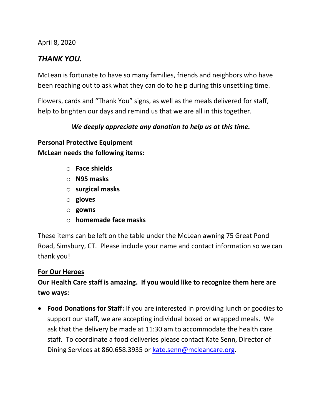April 8, 2020

## *THANK YOU.*

McLean is fortunate to have so many families, friends and neighbors who have been reaching out to ask what they can do to help during this unsettling time.

Flowers, cards and "Thank You" signs, as well as the meals delivered for staff, help to brighten our days and remind us that we are all in this together.

### *We deeply appreciate any donation to help us at this time.*

# **Personal Protective Equipment**

**McLean needs the following items:**

- o **Face shields**
- o **N95 masks**
- o **surgical masks**
- o **gloves**
- o **gowns**
- o **homemade face masks**

These items can be left on the table under the McLean awning 75 Great Pond Road, Simsbury, CT. Please include your name and contact information so we can thank you!

#### **For Our Heroes**

## **Our Health Care staff is amazing. If you would like to recognize them here are two ways:**

• **Food Donations for Staff:** If you are interested in providing lunch or goodies to support our staff, we are accepting individual boxed or wrapped meals. We ask that the delivery be made at 11:30 am to accommodate the health care staff. To coordinate a food deliveries please contact Kate Senn, Director of Dining Services at 860.658.3935 or [kate.senn@mcleancare.org.](mailto:kate.senn@mcleancare.org)